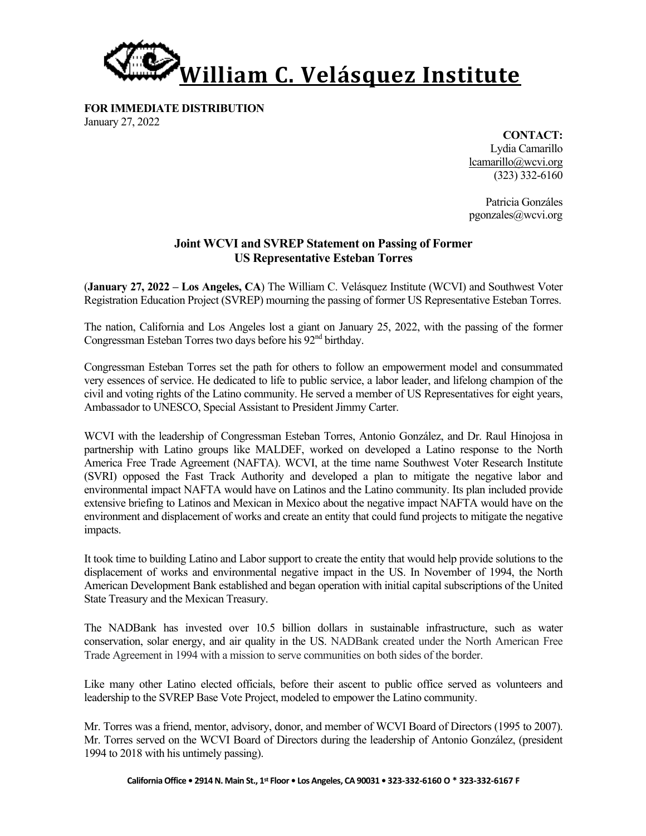

**FOR IMMEDIATE DISTRIBUTION** January 27, 2022

> **CONTACT:** Lydia Camarillo lcamarillo@wcvi.org (323) 332-6160

> Patricia Gonzáles pgonzales@wcvi.org

## **Joint WCVI and SVREP Statement on Passing of Former US Representative Esteban Torres**

(**January 27, 2022 – Los Angeles, CA**) The William C. Velásquez Institute (WCVI) and Southwest Voter Registration Education Project (SVREP) mourning the passing of former US Representative Esteban Torres.

The nation, California and Los Angeles lost a giant on January 25, 2022, with the passing of the former Congressman Esteban Torres two days before his  $92<sup>nd</sup>$  birthday.

Congressman Esteban Torres set the path for others to follow an empowerment model and consummated very essences of service. He dedicated to life to public service, a labor leader, and lifelong champion of the civil and voting rights of the Latino community. He served a member of US Representatives for eight years, Ambassador to UNESCO, Special Assistant to President Jimmy Carter.

WCVI with the leadership of Congressman Esteban Torres, Antonio González, and Dr. Raul Hinojosa in partnership with Latino groups like MALDEF, worked on developed a Latino response to the North America Free Trade Agreement (NAFTA). WCVI, at the time name Southwest Voter Research Institute (SVRI) opposed the Fast Track Authority and developed a plan to mitigate the negative labor and environmental impact NAFTA would have on Latinos and the Latino community. Its plan included provide extensive briefing to Latinos and Mexican in Mexico about the negative impact NAFTA would have on the environment and displacement of works and create an entity that could fund projects to mitigate the negative impacts.

It took time to building Latino and Labor support to create the entity that would help provide solutions to the displacement of works and environmental negative impact in the US. In November of 1994, the North American Development Bank established and began operation with initial capital subscriptions of the United State Treasury and the Mexican Treasury.

The NADBank has invested over 10.5 billion dollars in sustainable infrastructure, such as water conservation, solar energy, and air quality in the US. NADBank created under the North American Free Trade Agreement in 1994 with a mission to serve communities on both sides of the border.

Like many other Latino elected officials, before their ascent to public office served as volunteers and leadership to the SVREP Base Vote Project, modeled to empower the Latino community.

Mr. Torres was a friend, mentor, advisory, donor, and member of WCVI Board of Directors (1995 to 2007). Mr. Torres served on the WCVI Board of Directors during the leadership of Antonio González, (president 1994 to 2018 with his untimely passing).